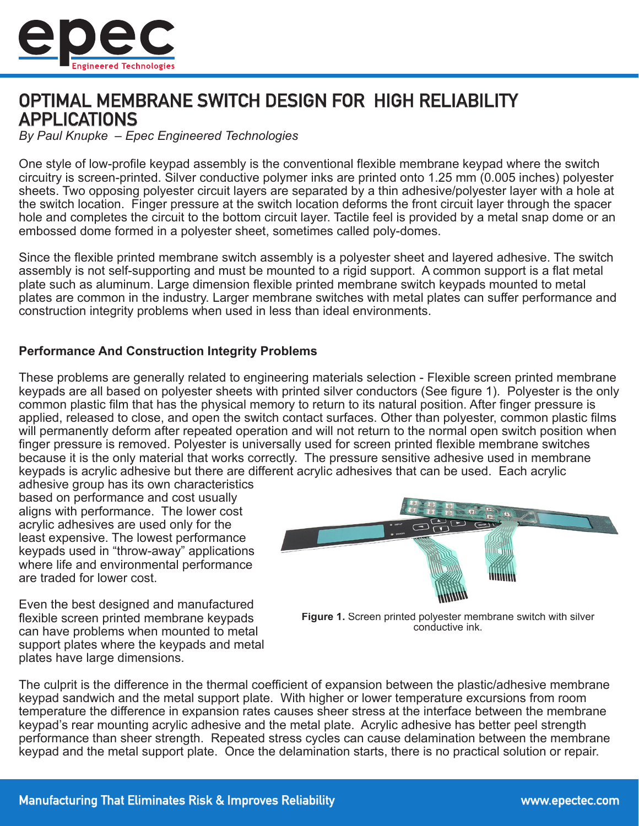

# OPTIMAL MEMBRANE SWITCH DESIGN FOR HIGH RELIABILITY APPLICATIONS

*By Paul Knupke – Epec Engineered Technologies*

One style of low-profile keypad assembly is the conventional flexible membrane keypad where the switch circuitry is screen-printed. Silver conductive polymer inks are printed onto 1.25 mm (0.005 inches) polyester sheets. Two opposing polyester circuit layers are separated by a thin adhesive/polyester layer with a hole at the switch location. Finger pressure at the switch location deforms the front circuit layer through the spacer hole and completes the circuit to the bottom circuit layer. Tactile feel is provided by a metal snap dome or an embossed dome formed in a polyester sheet, sometimes called poly-domes.

Since the flexible printed membrane switch assembly is a polyester sheet and layered adhesive. The switch assembly is not self-supporting and must be mounted to a rigid support. A common support is a flat metal plate such as aluminum. Large dimension flexible printed membrane switch keypads mounted to metal plates are common in the industry. Larger membrane switches with metal plates can suffer performance and construction integrity problems when used in less than ideal environments.

### **Performance And Construction Integrity Problems**

These problems are generally related to engineering materials selection - Flexible screen printed membrane keypads are all based on polyester sheets with printed silver conductors (See figure 1). Polyester is the only common plastic film that has the physical memory to return to its natural position. After finger pressure is applied, released to close, and open the switch contact surfaces. Other than polyester, common plastic films will permanently deform after repeated operation and will not return to the normal open switch position when finger pressure is removed. Polyester is universally used for screen printed flexible membrane switches because it is the only material that works correctly. The pressure sensitive adhesive used in membrane keypads is acrylic adhesive but there are different acrylic adhesives that can be used. Each acrylic

adhesive group has its own characteristics based on performance and cost usually aligns with performance. The lower cost acrylic adhesives are used only for the least expensive. The lowest performance keypads used in "throw-away" applications where life and environmental performance are traded for lower cost.

Even the best designed and manufactured flexible screen printed membrane keypads can have problems when mounted to metal support plates where the keypads and metal plates have large dimensions.



**Figure 1.** Screen printed polyester membrane switch with silver conductive ink.

The culprit is the difference in the thermal coefficient of expansion between the plastic/adhesive membrane keypad sandwich and the metal support plate. With higher or lower temperature excursions from room temperature the difference in expansion rates causes sheer stress at the interface between the membrane keypad's rear mounting acrylic adhesive and the metal plate. Acrylic adhesive has better peel strength performance than sheer strength. Repeated stress cycles can cause delamination between the membrane keypad and the metal support plate. Once the delamination starts, there is no practical solution or repair.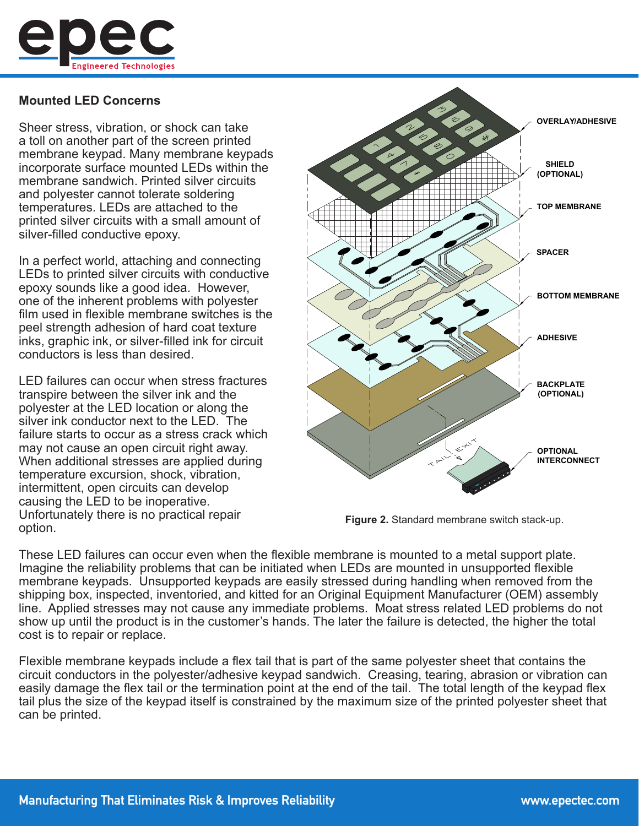

### **Mounted LED Concerns**

Sheer stress, vibration, or shock can take a toll on another part of the screen printed membrane keypad. Many membrane keypads incorporate surface mounted LEDs within the membrane sandwich. Printed silver circuits and polyester cannot tolerate soldering temperatures. LEDs are attached to the printed silver circuits with a small amount of silver-filled conductive epoxy.

In a perfect world, attaching and connecting LEDs to printed silver circuits with conductive epoxy sounds like a good idea. However, one of the inherent problems with polyester film used in flexible membrane switches is the peel strength adhesion of hard coat texture inks, graphic ink, or silver-filled ink for circuit conductors is less than desired.

LED failures can occur when stress fractures transpire between the silver ink and the polyester at the LED location or along the silver ink conductor next to the LED. The failure starts to occur as a stress crack which may not cause an open circuit right away. When additional stresses are applied during temperature excursion, shock, vibration, intermittent, open circuits can develop causing the LED to be inoperative. Unfortunately there is no practical repair option.



**Figure 2.** Standard membrane switch stack-up.

These LED failures can occur even when the flexible membrane is mounted to a metal support plate. Imagine the reliability problems that can be initiated when LEDs are mounted in unsupported flexible membrane keypads. Unsupported keypads are easily stressed during handling when removed from the shipping box, inspected, inventoried, and kitted for an Original Equipment Manufacturer (OEM) assembly line. Applied stresses may not cause any immediate problems. Moat stress related LED problems do not show up until the product is in the customer's hands. The later the failure is detected, the higher the total cost is to repair or replace.

Flexible membrane keypads include a flex tail that is part of the same polyester sheet that contains the circuit conductors in the polyester/adhesive keypad sandwich. Creasing, tearing, abrasion or vibration can easily damage the flex tail or the termination point at the end of the tail. The total length of the keypad flex tail plus the size of the keypad itself is constrained by the maximum size of the printed polyester sheet that can be printed.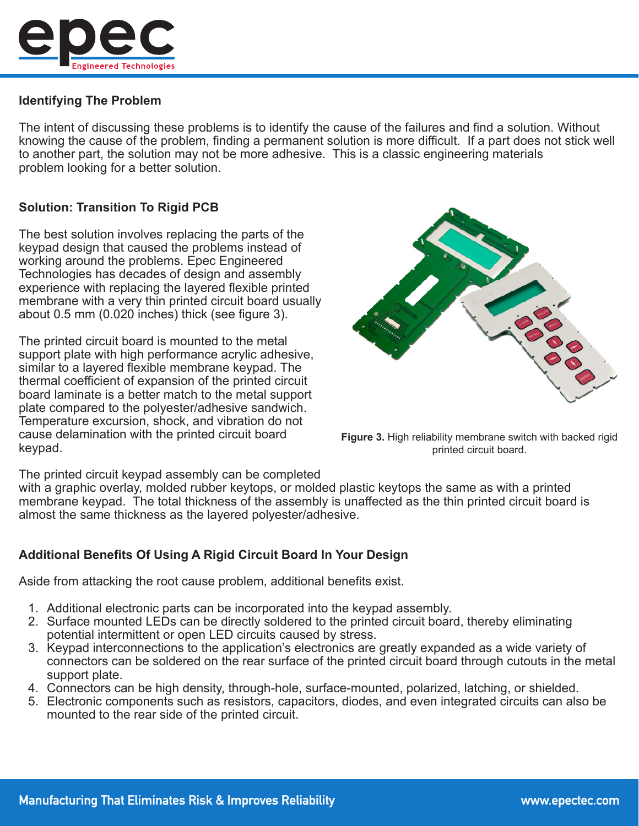

# **Identifying The Problem**

The intent of discussing these problems is to identify the cause of the failures and find a solution. Without knowing the cause of the problem, finding a permanent solution is more difficult. If a part does not stick well to another part, the solution may not be more adhesive. This is a classic engineering materials problem looking for a better solution.

# **Solution: Transition To Rigid PCB**

The best solution involves replacing the parts of the keypad design that caused the problems instead of working around the problems. Epec Engineered Technologies has decades of design and assembly experience with replacing the layered flexible printed membrane with a very thin printed circuit board usually about 0.5 mm (0.020 inches) thick (see figure 3).

The printed circuit board is mounted to the metal support plate with high performance acrylic adhesive, similar to a layered flexible membrane keypad. The thermal coefficient of expansion of the printed circuit board laminate is a better match to the metal support plate compared to the polyester/adhesive sandwich. Temperature excursion, shock, and vibration do not cause delamination with the printed circuit board keypad.



**Figure 3.** High reliability membrane switch with backed rigid printed circuit board.

The printed circuit keypad assembly can be completed

with a graphic overlay, molded rubber keytops, or molded plastic keytops the same as with a printed membrane keypad. The total thickness of the assembly is unaffected as the thin printed circuit board is almost the same thickness as the layered polyester/adhesive.

# **Additional Benefits Of Using A Rigid Circuit Board In Your Design**

Aside from attacking the root cause problem, additional benefits exist.

- 1. Additional electronic parts can be incorporated into the keypad assembly.
- 2. Surface mounted LEDs can be directly soldered to the printed circuit board, thereby eliminating potential intermittent or open LED circuits caused by stress.
- 3. Keypad interconnections to the application's electronics are greatly expanded as a wide variety of connectors can be soldered on the rear surface of the printed circuit board through cutouts in the metal support plate.
- 4. Connectors can be high density, through-hole, surface-mounted, polarized, latching, or shielded.
- 5. Electronic components such as resistors, capacitors, diodes, and even integrated circuits can also be mounted to the rear side of the printed circuit.